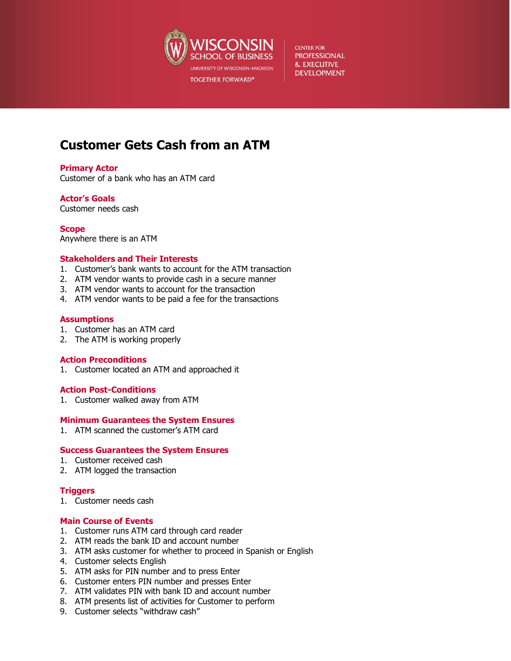

**CENTER FOR PROFESSIONAL & EXECUTIVE DEVELOPMENT** 

# **Customer Gets Cash from an ATM**

## **Primary Actor**

Customer of a bank who has an ATM card

## **Actor's Goals**

Customer needs cash

**Scope** Anywhere there is an ATM

## **Stakeholders and Their Interests**

- 1. Customer's bank wants to account for the ATM transaction
- 2. ATM vendor wants to provide cash in a secure manner
- 3. ATM vendor wants to account for the transaction
- 4. ATM vendor wants to be paid a fee for the transactions

## **Assumptions**

- 1. Customer has an ATM card
- 2. The ATM is working properly

## **Action Preconditions**

1. Customer located an ATM and approached it

# **Action Post-Conditions**

1. Customer walked away from ATM

# **Minimum Guarantees the System Ensures**

1. ATM scanned the customer's ATM card

## **Success Guarantees the System Ensures**

- 1. Customer received cash
- 2. ATM logged the transaction

# **Triggers**

1. Customer needs cash

# **Main Course of Events**

- 1. Customer runs ATM card through card reader
- 2. ATM reads the bank ID and account number
- 3. ATM asks customer for whether to proceed in Spanish or English
- 4. Customer selects English
- 5. ATM asks for PIN number and to press Enter
- 6. Customer enters PIN number and presses Enter
- 7. ATM validates PIN with bank ID and account number
- 8. ATM presents list of activities for Customer to perform
- 9. Customer selects "withdraw cash"